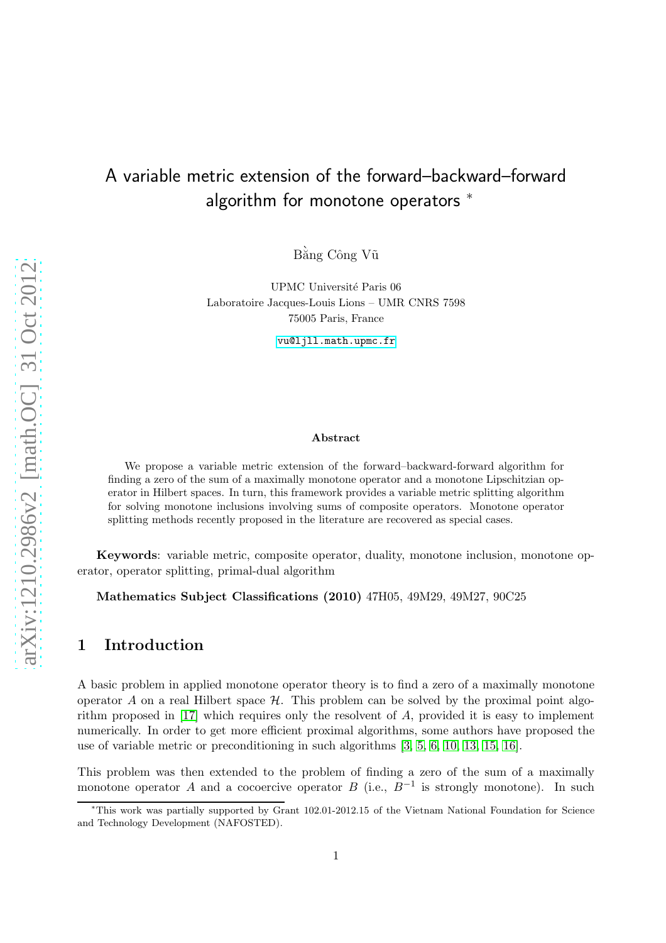# A variable metric extension of the forward–backward–forward algorithm for monotone operators  $*$

Bằng Công Vũ

UPMC Université Paris 06 Laboratoire Jacques-Louis Lions – UMR CNRS 7598 75005 Paris, France

<vu@ljll.math.upmc.fr>

#### Abstract

We propose a variable metric extension of the forward–backward-forward algorithm for finding a zero of the sum of a maximally monotone operator and a monotone Lipschitzian operator in Hilbert spaces. In turn, this framework provides a variable metric splitting algorithm for solving monotone inclusions involving sums of composite operators. Monotone operator splitting methods recently proposed in the literature are recovered as special cases.

Keywords: variable metric, composite operator, duality, monotone inclusion, monotone operator, operator splitting, primal-dual algorithm

Mathematics Subject Classifications (2010) 47H05, 49M29, 49M27, 90C25

#### 1 Introduction

A basic problem in applied monotone operator theory is to find a zero of a maximally monotone operator A on a real Hilbert space  $\mathcal H$ . This problem can be solved by the proximal point algorithm proposed in [\[17\]](#page-13-0) which requires only the resolvent of A, provided it is easy to implement numerically. In order to get more efficient proximal algorithms, some authors have proposed the use of variable metric or preconditioning in such algorithms [\[3,](#page-12-0) [5,](#page-12-1) [6,](#page-12-2) [10,](#page-12-3) [13,](#page-12-4) [15,](#page-12-5) [16\]](#page-13-1).

This problem was then extended to the problem of finding a zero of the sum of a maximally monotone operator A and a cocoercive operator B (i.e.,  $B^{-1}$  is strongly monotone). In such

<sup>∗</sup>This work was partially supported by Grant 102.01-2012.15 of the Vietnam National Foundation for Science and Technology Development (NAFOSTED).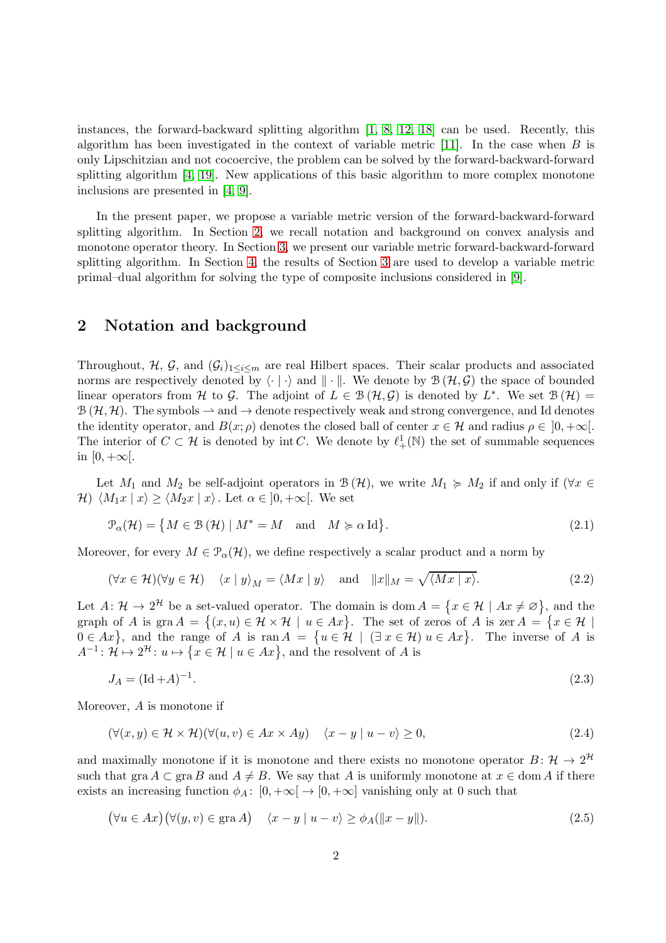instances, the forward-backward splitting algorithm [\[1,](#page-12-6) [8,](#page-12-7) [12,](#page-12-8) [18\]](#page-13-2) can be used. Recently, this algorithm has been investigated in the context of variable metric  $[11]$ . In the case when B is only Lipschitzian and not cocoercive, the problem can be solved by the forward-backward-forward splitting algorithm [\[4,](#page-12-10) [19\]](#page-13-3). New applications of this basic algorithm to more complex monotone inclusions are presented in [\[4,](#page-12-10) [9\]](#page-12-11).

In the present paper, we propose a variable metric version of the forward-backward-forward splitting algorithm. In Section [2,](#page-1-0) we recall notation and background on convex analysis and monotone operator theory. In Section [3,](#page-2-0) we present our variable metric forward-backward-forward splitting algorithm. In Section [4,](#page-7-0) the results of Section [3](#page-2-0) are used to develop a variable metric primal–dual algorithm for solving the type of composite inclusions considered in [\[9\]](#page-12-11).

#### <span id="page-1-0"></span>2 Notation and background

Throughout, H, G, and  $(G_i)_{1\leq i\leq m}$  are real Hilbert spaces. Their scalar products and associated norms are respectively denoted by  $\langle \cdot | \cdot \rangle$  and  $\| \cdot \|$ . We denote by  $\mathcal{B}(\mathcal{H}, \mathcal{G})$  the space of bounded linear operators from H to G. The adjoint of  $L \in \mathcal{B}(\mathcal{H}, \mathcal{G})$  is denoted by  $L^*$ . We set  $\mathcal{B}(\mathcal{H}) =$  $\mathcal{B}(\mathcal{H}, \mathcal{H})$ . The symbols  $\rightarrow$  and  $\rightarrow$  denote respectively weak and strong convergence, and Id denotes the identity operator, and  $B(x; \rho)$  denotes the closed ball of center  $x \in \mathcal{H}$  and radius  $\rho \in [0, +\infty[$ . The interior of  $C \subset \mathcal{H}$  is denoted by int C. We denote by  $\ell^1_+(\mathbb{N})$  the set of summable sequences in  $[0, +\infty[$ .

Let  $M_1$  and  $M_2$  be self-adjoint operators in  $\mathcal{B}(\mathcal{H})$ , we write  $M_1 \succcurlyeq M_2$  if and only if  $(\forall x \in$ H)  $\langle M_1x | x \rangle \ge \langle M_2x | x \rangle$ . Let  $\alpha \in ]0, +\infty[$ . We set

$$
\mathcal{P}_{\alpha}(\mathcal{H}) = \{ M \in \mathcal{B}(\mathcal{H}) \mid M^* = M \text{ and } M \succcurlyeq \alpha \operatorname{Id} \}.
$$
\n(2.1)

Moreover, for every  $M \in \mathcal{P}_{\alpha}(\mathcal{H})$ , we define respectively a scalar product and a norm by

$$
(\forall x \in \mathcal{H})(\forall y \in \mathcal{H}) \quad \langle x \mid y \rangle_M = \langle Mx \mid y \rangle \quad \text{and} \quad ||x||_M = \sqrt{\langle Mx \mid x \rangle}.
$$
 (2.2)

Let  $A: \mathcal{H} \to 2^{\mathcal{H}}$  be a set-valued operator. The domain is dom  $A = \{x \in \mathcal{H} \mid Ax \neq \emptyset\}$ , and the graph of A is gra  $A = \{(x, u) \in \mathcal{H} \times \mathcal{H} \mid u \in Ax\}$ . The set of zeros of A is zer  $A = \{x \in \mathcal{H} \mid x \in \mathcal{H} \mid u \in Ax\}$ .  $0 \in Ax$ , and the range of A is  $\text{ran } A = \{u \in \mathcal{H} \mid (\exists x \in \mathcal{H}) u \in Ax\}.$  The inverse of A is  $A^{-1}$ :  $\mathcal{H} \mapsto 2^{\mathcal{H}}$ :  $u \mapsto \{x \in \mathcal{H} \mid u \in Ax\}$ , and the resolvent of A is

$$
J_A = (\text{Id} + A)^{-1}.
$$
\n(2.3)

Moreover, A is monotone if

$$
(\forall (x, y) \in \mathcal{H} \times \mathcal{H})(\forall (u, v) \in Ax \times Ay) \quad \langle x - y | u - v \rangle \ge 0,
$$
\n
$$
(2.4)
$$

and maximally monotone if it is monotone and there exists no monotone operator  $B: \mathcal{H} \to 2^{\mathcal{H}}$ such that gra  $A \subset \text{gra } B$  and  $A \neq B$ . We say that A is uniformly monotone at  $x \in \text{dom } A$  if there exists an increasing function  $\phi_A: [0, +\infty] \to [0, +\infty]$  vanishing only at 0 such that

$$
(\forall u \in Ax)(\forall (y, v) \in \text{gra } A) \quad \langle x - y | u - v \rangle \ge \phi_A(||x - y||). \tag{2.5}
$$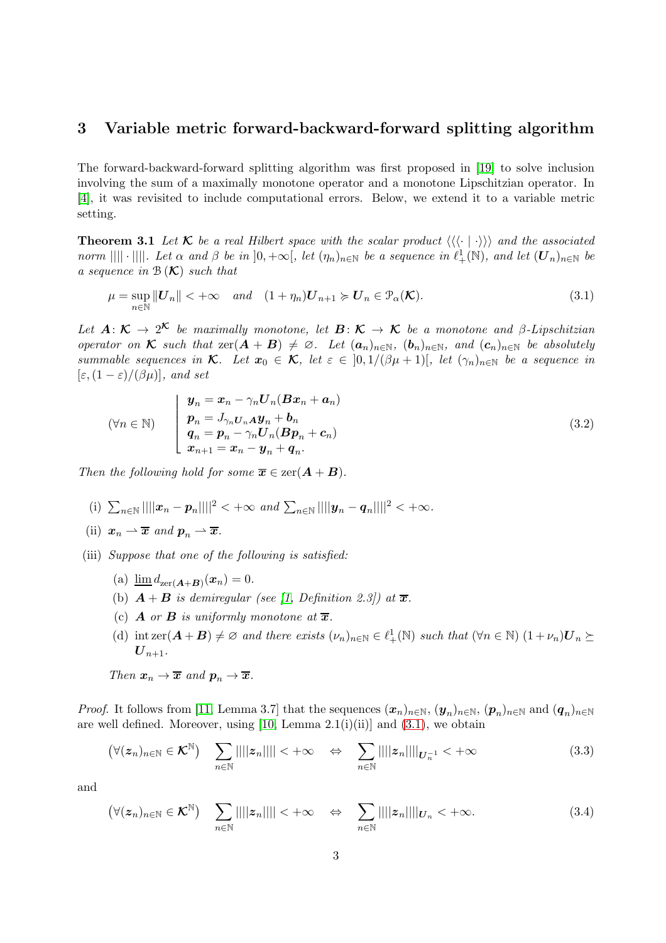### <span id="page-2-0"></span>3 Variable metric forward-backward-forward splitting algorithm

The forward-backward-forward splitting algorithm was first proposed in [\[19\]](#page-13-3) to solve inclusion involving the sum of a maximally monotone operator and a monotone Lipschitzian operator. In [\[4\]](#page-12-10), it was revisited to include computational errors. Below, we extend it to a variable metric setting.

<span id="page-2-11"></span>**Theorem 3.1** Let  $\mathcal{K}$  be a real Hilbert space with the scalar product  $\langle \langle \langle \cdot | \cdot \rangle \rangle \rangle$  and the associated *norm*  $|||| \cdot ||||$ *. Let*  $\alpha$  *and*  $\beta$  *be in*  $]0, +\infty[$ *, let*  $(\eta_n)_{n \in \mathbb{N}}$  *be a sequence in*  $\ell^1_+(\mathbb{N})$ *, and let*  $(\mathbf{U}_n)_{n \in \mathbb{N}}$  *be a sequence in* B (K) *such that*

<span id="page-2-1"></span>
$$
\mu = \sup_{n \in \mathbb{N}} ||\mathbf{U}_n|| < +\infty \quad and \quad (1 + \eta_n)\mathbf{U}_{n+1} \succcurlyeq \mathbf{U}_n \in \mathcal{P}_\alpha(\mathcal{K}). \tag{3.1}
$$

Let  $A: \mathcal{K} \to 2^{\mathcal{K}}$  be maximally monotone, let  $B: \mathcal{K} \to \mathcal{K}$  be a monotone and  $\beta$ *-Lipschitzian operator on*  $\mathcal K$  *such that*  $\text{zer}(A + B) \neq \emptyset$ *. Let*  $(a_n)_{n \in \mathbb N}$ *,*  $(b_n)_{n \in \mathbb N}$ *, and*  $(c_n)_{n \in \mathbb N}$  *be absolutely summable sequences in*  $\mathcal{K}$ *. Let*  $x_0 \in \mathcal{K}$ *, let*  $\varepsilon \in [0, 1/(\beta\mu + 1)]$ *, let*  $(\gamma_n)_{n \in \mathbb{N}}$  *be a sequence in*  $[\varepsilon,(1-\varepsilon)/(\beta\mu)]$ *, and set* 

<span id="page-2-2"></span>
$$
(\forall n \in \mathbb{N}) \qquad \begin{cases} \n\boldsymbol{y}_n = \boldsymbol{x}_n - \gamma_n \boldsymbol{U}_n (\boldsymbol{B} \boldsymbol{x}_n + \boldsymbol{a}_n) \\ \n\boldsymbol{p}_n = \boldsymbol{J}_{\gamma_n \boldsymbol{U}_n \boldsymbol{A}} \boldsymbol{y}_n + \boldsymbol{b}_n \\ \n\boldsymbol{q}_n = \boldsymbol{p}_n - \gamma_n \boldsymbol{U}_n (\boldsymbol{B} \boldsymbol{p}_n + \boldsymbol{c}_n) \\ \n\boldsymbol{x}_{n+1} = \boldsymbol{x}_n - \boldsymbol{y}_n + \boldsymbol{q}_n. \n\end{cases} \tag{3.2}
$$

<span id="page-2-5"></span>*Then the following hold for some*  $\overline{x} \in \text{zer}(A + B)$ *.* 

- <span id="page-2-6"></span>(i)  $\sum_{n\in\mathbb{N}}||||x_n - p_n||||^2 < +\infty$  and  $\sum_{n\in\mathbb{N}}||||y_n - q_n||||^2 < +\infty$ .
- (ii)  $x_n \rightharpoonup \overline{x}$  and  $p_n \rightharpoonup \overline{x}$ .
- <span id="page-2-10"></span><span id="page-2-9"></span><span id="page-2-8"></span><span id="page-2-7"></span>(iii) *Suppose that one of the following is satisfied:*
	- (a)  $\lim_{n \to \infty} d_{\text{zer}}(A+B)(x_n) = 0.$
	- (b)  $\mathbf{A} + \mathbf{B}$  *is demiregular (see [\[1,](#page-12-6) Definition 2.3]) at*  $\overline{\mathbf{x}}$ *.*
	- (c) **A** or **B** is uniformly monotone at  $\overline{x}$ .
	- (d) int zer $(\mathbf{A} + \mathbf{B}) \neq \emptyset$  and there exists  $(\nu_n)_{n \in \mathbb{N}} \in \ell^1_+(\mathbb{N})$  such that  $(\forall n \in \mathbb{N})$   $(1 + \nu_n)U_n \succeq$  $\boldsymbol{U}_{n+1}$ .

Then 
$$
x_n \to \overline{x}
$$
 and  $p_n \to \overline{x}$ .

*Proof.* It follows from [\[11,](#page-12-9) Lemma 3.7] that the sequences  $(x_n)_{n\in\mathbb{N}}$ ,  $(y_n)_{n\in\mathbb{N}}$ ,  $(p_n)_{n\in\mathbb{N}}$  and  $(q_n)_{n\in\mathbb{N}}$ are well defined. Moreover, using [\[10,](#page-12-3) Lemma  $2.1(i)(ii)$ ] and  $(3.1)$ , we obtain

<span id="page-2-3"></span>
$$
(\forall (z_n)_{n\in\mathbb{N}}\in\mathcal{K}^{\mathbb{N}})\quad\sum_{n\in\mathbb{N}}||||z_n||||<+\infty\quad\Leftrightarrow\quad\sum_{n\in\mathbb{N}}||||z_n||||_{U_n^{-1}}<+\infty\tag{3.3}
$$

and

<span id="page-2-4"></span>
$$
(\forall (z_n)_{n\in\mathbb{N}}\in\mathcal{K}^{\mathbb{N}})\quad\sum_{n\in\mathbb{N}}||||z_n|||| < +\infty \quad\Leftrightarrow\quad\sum_{n\in\mathbb{N}}||||z_n||||_{U_n} < +\infty.
$$
\n(3.4)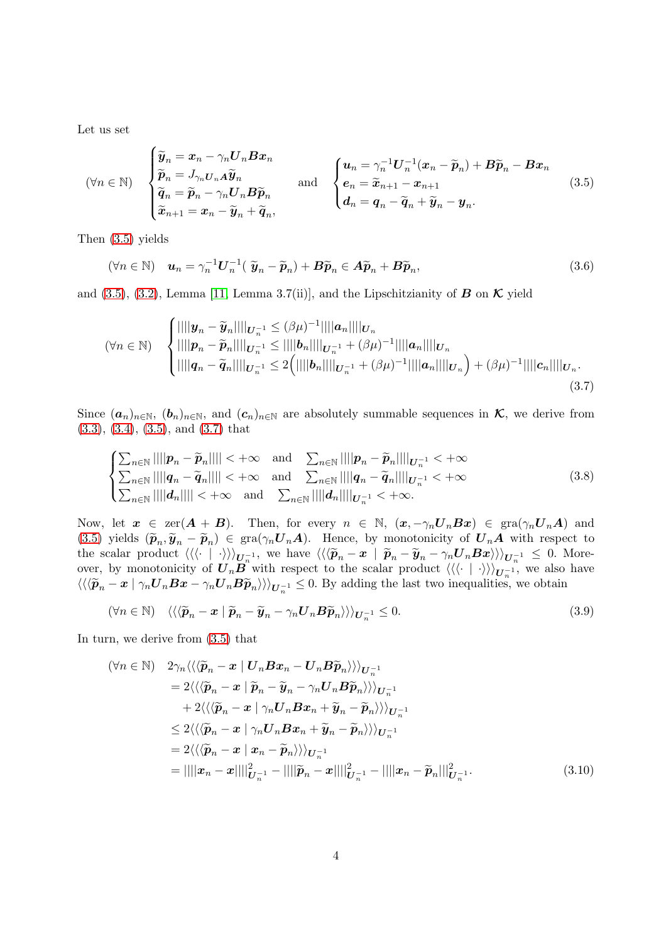Let us set

<span id="page-3-0"></span>
$$
(\forall n \in \mathbb{N}) \quad\n\begin{cases}\n\widetilde{\mathbf{y}}_n = \mathbf{x}_n - \gamma_n \mathbf{U}_n \mathbf{B} \mathbf{x}_n \\
\widetilde{p}_n = J_{\gamma_n \mathbf{U}_n \mathbf{A}} \widetilde{\mathbf{y}}_n \\
\widetilde{\mathbf{q}}_n = \widetilde{p}_n - \gamma_n \mathbf{U}_n \mathbf{B} \widetilde{p}_n\n\end{cases}\n\quad \text{and} \quad\n\begin{cases}\n\mathbf{u}_n = \gamma_n^{-1} \mathbf{U}_n^{-1} (\mathbf{x}_n - \widetilde{\mathbf{p}}_n) + \mathbf{B} \widetilde{\mathbf{p}}_n - \mathbf{B} \mathbf{x}_n \\
\mathbf{e}_n = \widetilde{\mathbf{x}}_{n+1} - \mathbf{x}_{n+1} \\
\mathbf{d}_n = \mathbf{q}_n - \widetilde{\mathbf{q}}_n + \widetilde{\mathbf{y}}_n - \mathbf{y}_n.\n\end{cases}\n\tag{3.5}
$$

Then [\(3.5\)](#page-3-0) yields

<span id="page-3-1"></span>
$$
(\forall n \in \mathbb{N}) \quad \boldsymbol{u}_n = \gamma_n^{-1} \boldsymbol{U}_n^{-1} (\ \widetilde{\boldsymbol{y}}_n - \widetilde{\boldsymbol{p}}_n) + \boldsymbol{B} \widetilde{\boldsymbol{p}}_n \in \boldsymbol{A} \widetilde{\boldsymbol{p}}_n + \boldsymbol{B} \widetilde{\boldsymbol{p}}_n, \tag{3.6}
$$

and [\(3.5\)](#page-3-0), [\(3.2\)](#page-2-2), Lemma [\[11,](#page-12-9) Lemma 3.7(ii)], and the Lipschitzianity of  $\bf{B}$  on  $\bf{\cal{K}}$  yield

$$
(\forall n \in \mathbb{N}) \quad \begin{cases} \|\|\|\boldsymbol{y}_n - \widetilde{\boldsymbol{y}}_n\|\|_{\boldsymbol{U}_n^{-1}} \leq (\beta \mu)^{-1} \|\|\boldsymbol{a}_n\|\|_{\boldsymbol{U}_n} \\ \|\|\boldsymbol{p}_n - \widetilde{\boldsymbol{p}}_n\|\|\|_{\boldsymbol{U}_n^{-1}} \leq \|\|\boldsymbol{b}_n\|\|_{\boldsymbol{U}_n^{-1}} + (\beta \mu)^{-1} \|\|\boldsymbol{a}_n\|\|\|_{\boldsymbol{U}_n} \\ \|\|\boldsymbol{q}_n - \widetilde{\boldsymbol{q}}_n\|\|\|_{\boldsymbol{U}_n^{-1}} \leq 2 \Big( \|\|\boldsymbol{b}_n\|\|\|_{\boldsymbol{U}_n^{-1}} + (\beta \mu)^{-1} \|\|\boldsymbol{a}_n\|\|\|_{\boldsymbol{U}_n} \Big) + (\beta \mu)^{-1} \|\|\boldsymbol{c}_n\|\|\|_{\boldsymbol{U}_n} . \end{cases} \tag{3.7}
$$

Since  $(a_n)_{n\in\mathbb{N}}$ ,  $(b_n)_{n\in\mathbb{N}}$ , and  $(c_n)_{n\in\mathbb{N}}$  are absolutely summable sequences in  $\mathcal{K}$ , we derive from [\(3.3\)](#page-2-3), [\(3.4\)](#page-2-4), [\(3.5\)](#page-3-0), and [\(3.7\)](#page-3-1) that

<span id="page-3-3"></span>
$$
\begin{cases} \sum_{n\in\mathbb{N}} ||||\mathbf{p}_n - \widetilde{\mathbf{p}}_n|||| < +\infty & \text{and} \quad \sum_{n\in\mathbb{N}} ||||\mathbf{p}_n - \widetilde{\mathbf{p}}_n||||_{\mathbf{U}_n^{-1}} < +\infty\\ \sum_{n\in\mathbb{N}} ||||\mathbf{q}_n - \widetilde{\mathbf{q}}_n|||| < +\infty & \text{and} \quad \sum_{n\in\mathbb{N}} ||||\mathbf{q}_n - \widetilde{\mathbf{q}}_n||||_{\mathbf{U}_n^{-1}} < +\infty\\ \sum_{n\in\mathbb{N}} ||||\mathbf{d}_n|||| < +\infty & \text{and} \quad \sum_{n\in\mathbb{N}} ||||\mathbf{d}_n||||_{\mathbf{U}_n^{-1}} < +\infty. \end{cases} \tag{3.8}
$$

Now, let  $x \in \text{zer}(A + B)$ . Then, for every  $n \in \mathbb{N}$ ,  $(x, -\gamma_n \mathbf{U}_n B x) \in \text{gra}(\gamma_n \mathbf{U}_n A)$  and [\(3.5\)](#page-3-0) yields  $(\widetilde{p}_n, \widetilde{y}_n - \widetilde{p}_n) \in \text{gra}(\gamma_n \mathbf{U}_n \mathbf{A})$ . Hence, by monotonicity of  $\mathbf{U}_n \mathbf{A}$  with respect to the scalar product  $\langle \langle \langle \cdot | \cdot \rangle \rangle \rangle_{U_n^{-1}}$ , we have  $\langle \langle \langle \tilde{p}_n - x | \tilde{p}_n - \tilde{y}_n - \gamma_n U_n B x \rangle \rangle \rangle_{U_n^{-1}} \leq 0$ . Moreover, by monotonicity of  $\mathbf{U}_n \mathbf{B}$  with respect to the scalar product  $\langle \langle \langle \cdot | \cdot \rangle \rangle \rangle_{\mathbf{U}_n^{-1}}$ , we also have  $\langle\langle \langle \widetilde{\boldsymbol{p}}_n - \boldsymbol{x} \mid \gamma_n \boldsymbol{U}_n \boldsymbol{B} \boldsymbol{x} - \gamma_n \boldsymbol{U}_n \boldsymbol{B} \widetilde{\boldsymbol{p}}_n \rangle \rangle\rangle_{\boldsymbol{U}_n^{-1}} \leq 0.$  By adding the last two inequalities, we obtain

$$
(\forall n \in \mathbb{N}) \quad \langle \langle \langle \widetilde{\boldsymbol{p}}_n - \boldsymbol{x} \mid \widetilde{\boldsymbol{p}}_n - \widetilde{\boldsymbol{y}}_n - \gamma_n \boldsymbol{U}_n \boldsymbol{B} \widetilde{\boldsymbol{p}}_n \rangle \rangle \rangle_{\boldsymbol{U}_n^{-1}} \leq 0. \tag{3.9}
$$

In turn, we derive from [\(3.5\)](#page-3-0) that

<span id="page-3-2"></span>
$$
(\forall n \in \mathbb{N}) \quad 2\gamma_n \langle \langle \langle \widetilde{\mathbf{p}}_n - \mathbf{x} \mid \mathbf{U}_n \mathbf{B} \mathbf{x}_n - \mathbf{U}_n \mathbf{B} \widetilde{\mathbf{p}}_n \rangle \rangle \rangle_{\mathbf{U}_n^{-1}} \n= 2 \langle \langle \langle \widetilde{\mathbf{p}}_n - \mathbf{x} \mid \widetilde{\mathbf{p}}_n - \widetilde{\mathbf{y}}_n - \gamma_n \mathbf{U}_n \mathbf{B} \widetilde{\mathbf{p}}_n \rangle \rangle \rangle_{\mathbf{U}_n^{-1}} \n+ 2 \langle \langle \langle \widetilde{\mathbf{p}}_n - \mathbf{x} \mid \gamma_n \mathbf{U}_n \mathbf{B} \mathbf{x}_n + \widetilde{\mathbf{y}}_n - \widetilde{\mathbf{p}}_n \rangle \rangle \rangle_{\mathbf{U}_n^{-1}} \n\leq 2 \langle \langle \langle \widetilde{\mathbf{p}}_n - \mathbf{x} \mid \gamma_n \mathbf{U}_n \mathbf{B} \mathbf{x}_n + \widetilde{\mathbf{y}}_n - \widetilde{\mathbf{p}}_n \rangle \rangle \rangle_{\mathbf{U}_n^{-1}} \n= 2 \langle \langle \langle \widetilde{\mathbf{p}}_n - \mathbf{x} \mid \mathbf{x}_n - \widetilde{\mathbf{p}}_n \rangle \rangle \rangle_{\mathbf{U}_n^{-1}} \n= ||||\mathbf{x}_n - \mathbf{x}|| ||_{\mathbf{U}_n^{-1}}^2 - ||||\widetilde{\mathbf{p}}_n - \mathbf{x}|| ||_{\mathbf{U}_n^{-1}}^2 - ||||\mathbf{x}_n - \widetilde{\mathbf{p}}_n|| ||_{\mathbf{U}_n^{-1}}^2.
$$
\n(3.10)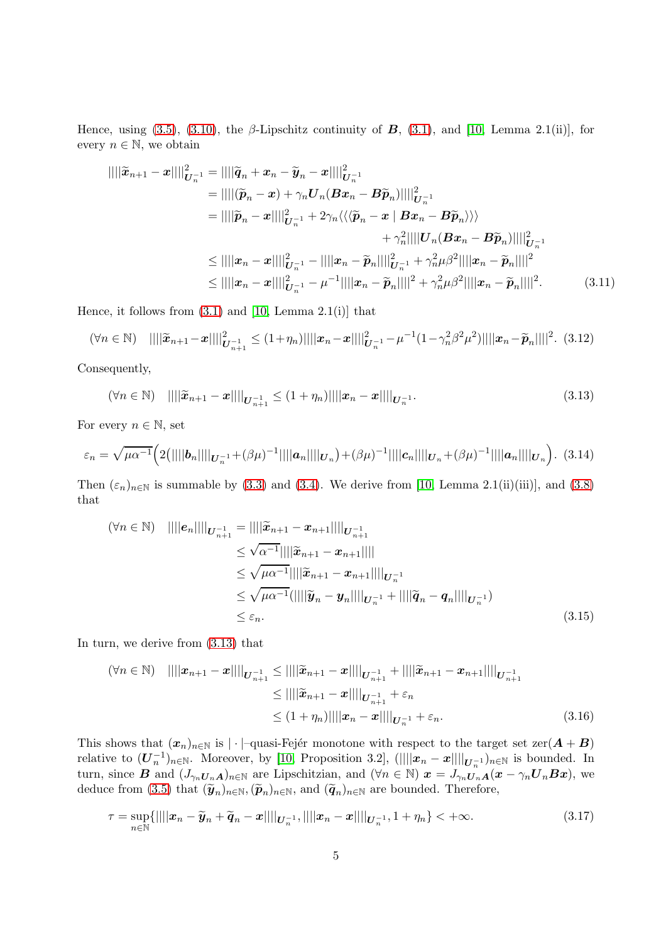Hence, using [\(3.5\)](#page-3-0), [\(3.10\)](#page-3-2), the β-Lipschitz continuity of  $\bf{B}$ , [\(3.1\)](#page-2-1), and [\[10,](#page-12-3) Lemma 2.1(ii)], for every  $n \in \mathbb{N}$ , we obtain

<span id="page-4-1"></span>
$$
\|\|\tilde{x}_{n+1} - x\|\|_{U_n^{-1}}^2 = \|\|\tilde{q}_n + x_n - \tilde{y}_n - x\|\|_{U_n^{-1}}^2
$$
  
\n
$$
= \|\|(\tilde{p}_n - x) + \gamma_n U_n (Bx_n - B\tilde{p}_n)\|\|_{U_n^{-1}}^2
$$
  
\n
$$
= \|\|\tilde{p}_n - x\|\|_{U_n^{-1}}^2 + 2\gamma_n \langle\langle\langle \tilde{p}_n - x \mid Bx_n - B\tilde{p}_n \rangle\rangle\rangle
$$
  
\n
$$
+ \gamma_n^2 \|\|U_n (Bx_n - B\tilde{p}_n)\|\|_{U_n^{-1}}^2
$$
  
\n
$$
\leq \|\|x_n - x\|\|_{U_n^{-1}}^2 - \|\|x_n - \tilde{p}_n\|\|_{U_n^{-1}}^2 + \gamma_n^2 \mu \beta^2 \|\|x_n - \tilde{p}_n\|\|^2
$$
  
\n
$$
\leq \|\|x_n - x\|\|_{U_n^{-1}}^2 - \mu^{-1} \|\|x_n - \tilde{p}_n\|\|^2 + \gamma_n^2 \mu \beta^2 \|\|x_n - \tilde{p}_n\|\|^2.
$$
 (3.11)

Hence, it follows from  $(3.1)$  and  $[10, \text{ Lemma } 2.1(i)]$  that

$$
(\forall n \in \mathbb{N}) \quad ||||\widetilde{\mathbf{x}}_{n+1} - \mathbf{x}||||_{\mathbf{U}_{n+1}^{-1}}^2 \le (1 + \eta_n) ||||\mathbf{x}_n - \mathbf{x}||||_{\mathbf{U}_n^{-1}}^2 - \mu^{-1} (1 - \gamma_n^2 \beta^2 \mu^2) ||||\mathbf{x}_n - \widetilde{\mathbf{p}}_n||||^2. \tag{3.12}
$$

Consequently,

<span id="page-4-0"></span>
$$
(\forall n \in \mathbb{N}) \quad ||||\widetilde{\mathbf{x}}_{n+1} - \mathbf{x}||||_{\mathbf{U}_{n+1}^{-1}} \le (1 + \eta_n) ||||\mathbf{x}_n - \mathbf{x}||||_{\mathbf{U}_n^{-1}}.
$$
\n(3.13)

For every  $n \in \mathbb{N}$ , set

$$
\varepsilon_n = \sqrt{\mu \alpha^{-1}} \Big( 2(||||\boldsymbol{b}_n||||_{\boldsymbol{U}_n^{-1}} + (\beta \mu)^{-1}||||\boldsymbol{a}_n||||_{\boldsymbol{U}_n} \Big) + (\beta \mu)^{-1}||||\boldsymbol{c}_n||||\boldsymbol{c}_n||||\boldsymbol{a}_n||||\boldsymbol{a}_n||||\boldsymbol{a}_n||||\boldsymbol{a}_n|.
$$
 (3.14)

Then  $(\varepsilon_n)_{n\in\mathbb{N}}$  is summable by [\(3.3\)](#page-2-3) and [\(3.4\)](#page-2-4). We derive from [\[10,](#page-12-3) Lemma 2.1(ii)(iii)], and [\(3.8\)](#page-3-3) that

$$
(\forall n \in \mathbb{N}) \quad ||||e_n||||_{U_{n+1}^{-1}} = ||||\widetilde{x}_{n+1} - x_{n+1}||||_{U_{n+1}^{-1}}
$$
  
\n
$$
\leq \sqrt{\alpha^{-1}}||||\widetilde{x}_{n+1} - x_{n+1}||||
$$
  
\n
$$
\leq \sqrt{\mu \alpha^{-1}}||||\widetilde{x}_{n+1} - x_{n+1}||||_{U_{n}^{-1}}
$$
  
\n
$$
\leq \sqrt{\mu \alpha^{-1}}(||||\widetilde{y}_n - y_n||||_{U_{n}^{-1}} + ||||\widetilde{q}_n - q_n||||_{U_{n}^{-1}})
$$
  
\n
$$
\leq \varepsilon_n.
$$
\n(3.15)

In turn, we derive from [\(3.13\)](#page-4-0) that

<span id="page-4-2"></span>
$$
(\forall n \in \mathbb{N}) \quad ||||x_{n+1} - x||||_{U_{n+1}^{-1}} \le ||||\widetilde{x}_{n+1} - x||||_{U_{n+1}^{-1}} + ||||\widetilde{x}_{n+1} - x_{n+1}||||_{U_{n+1}^{-1}}
$$
  
\n
$$
\le ||||\widetilde{x}_{n+1} - x||||_{U_{n+1}^{-1}} + \varepsilon_n
$$
  
\n
$$
\le (1 + \eta_n) ||||x_n - x||||_{U_n^{-1}} + \varepsilon_n.
$$
\n(3.16)

This shows that  $(x_n)_{n\in\mathbb{N}}$  is | · |–quasi-Fejér monotone with respect to the target set  $\text{zer}(A + B)$ relative to  $(\underline{\boldsymbol{U}}_n^{-1})_{n\in\mathbb{N}}$ . Moreover, by [\[10,](#page-12-3) Proposition 3.2],  $(||\|\boldsymbol{x}_n - \boldsymbol{x}||\|_{\boldsymbol{U}_n^{-1}})_{n\in\mathbb{N}}$  is bounded. In turn, since **B** and  $(J_{\gamma_n}U_nA)_{n\in\mathbb{N}}$  are Lipschitzian, and  $(\forall n \in \mathbb{N})$   $\mathbf{x} = J_{\gamma_n}U_nA(\mathbf{x} - \gamma_n\mathbf{U}_nB\mathbf{x})$ , we deduce from [\(3.5\)](#page-3-0) that  $(\tilde{\mathbf{y}}_n)_{n \in \mathbb{N}}$ ,  $(\tilde{\mathbf{p}}_n)_{n \in \mathbb{N}}$ , and  $(\tilde{\mathbf{q}}_n)_{n \in \mathbb{N}}$  are bounded. Therefore,

$$
\tau = \sup_{n \in \mathbb{N}} \{ ||||\mathbf{x}_n - \widetilde{\mathbf{y}}_n + \widetilde{\mathbf{q}}_n - \mathbf{x}|| ||_{\mathbf{U}_n^{-1}}, ||||\mathbf{x}_n - \mathbf{x}|| ||_{\mathbf{U}_n^{-1}}, 1 + \eta_n \} < +\infty.
$$
\n(3.17)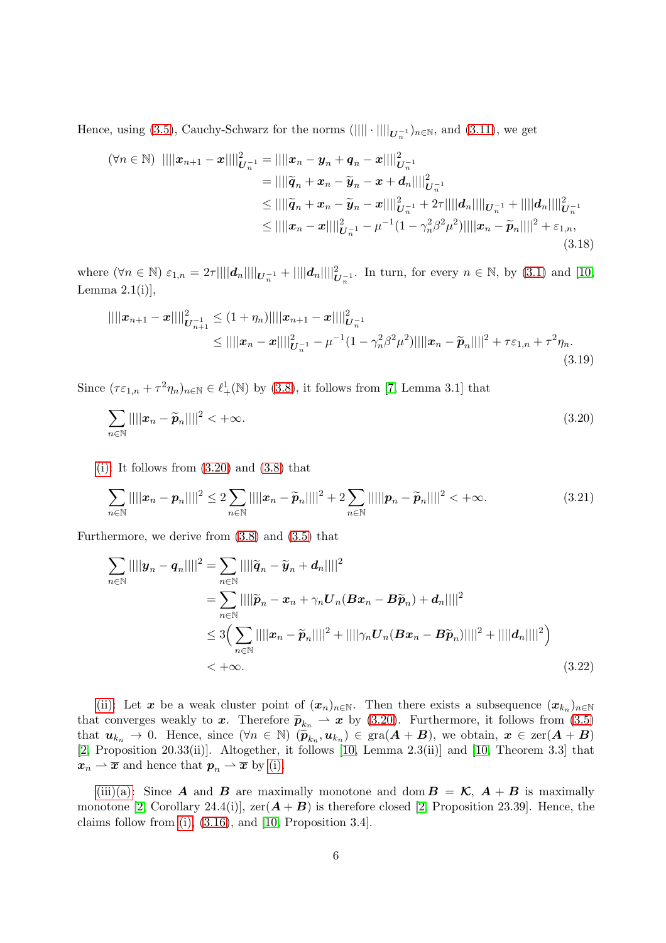Hence, using [\(3.5\)](#page-3-0), Cauchy-Schwarz for the norms  $(|||| \cdot || ||_{U_n^{-1}})_{n \in \mathbb{N}}$ , and [\(3.11\)](#page-4-1), we get

$$
(\forall n \in \mathbb{N}) \ || ||x_{n+1} - x|| ||_{U_n^{-1}}^2 = || ||x_n - y_n + q_n - x|| ||_{U_n^{-1}}^2
$$
  
\n
$$
= || ||\widetilde{q}_n + x_n - \widetilde{y}_n - x + d_n|| ||_{U_n^{-1}}^2
$$
  
\n
$$
\leq || ||\widetilde{q}_n + x_n - \widetilde{y}_n - x|| ||_{U_n^{-1}}^2 + 2\tau || ||d_n|| ||_{U_n^{-1}} + || ||d_n|| ||_{U_n^{-1}}^2
$$
  
\n
$$
\leq || ||x_n - x|| ||_{U_n^{-1}}^2 - \mu^{-1} (1 - \gamma_n^2 \beta^2 \mu^2) || ||x_n - \widetilde{p}_n|| ||^2 + \varepsilon_{1,n},
$$
\n(3.18)

where  $(\forall n \in \mathbb{N}) \varepsilon_{1,n} = 2\tau ||||\boldsymbol{d}_n|| ||_{\boldsymbol{U}_n^{-1}} + ||||\boldsymbol{d}_n|| ||_{\boldsymbol{U}_n^{-1}}^2$ . In turn, for every  $n \in \mathbb{N}$ , by [\(3.1\)](#page-2-1) and [\[10,](#page-12-3) Lemma  $2.1(i)$ ],

$$
||||\boldsymbol{x}_{n+1} - \boldsymbol{x}||||_{\boldsymbol{U}_{n+1}^{-1}}^2 \le (1 + \eta_n) ||||\boldsymbol{x}_{n+1} - \boldsymbol{x}||||_{\boldsymbol{U}_n^{-1}}^2
$$
  
\n
$$
\le ||||\boldsymbol{x}_n - \boldsymbol{x}||||_{\boldsymbol{U}_n^{-1}}^2 - \mu^{-1} (1 - \gamma_n^2 \beta^2 \mu^2) ||||\boldsymbol{x}_n - \widetilde{\boldsymbol{p}}_n||||^2 + \tau \varepsilon_{1,n} + \tau^2 \eta_n.
$$
\n(3.19)

Since  $(\tau \varepsilon_{1,n} + \tau^2 \eta_n)_{n \in \mathbb{N}} \in \ell^1_+(\mathbb{N})$  by [\(3.8\)](#page-3-3), it follows from [\[7,](#page-12-12) Lemma 3.1] that

<span id="page-5-0"></span>
$$
\sum_{n \in \mathbb{N}} ||||\mathbf{x}_n - \widetilde{\mathbf{p}}_n||||^2 < +\infty. \tag{3.20}
$$

[\(i\):](#page-2-5) It follows from  $(3.20)$  and  $(3.8)$  that

$$
\sum_{n\in\mathbb{N}}||||x_n - p_n||||^2 \le 2\sum_{n\in\mathbb{N}}||||x_n - \widetilde{p}_n||||^2 + 2\sum_{n\in\mathbb{N}}||||p_n - \widetilde{p}_n||||^2 < +\infty.
$$
\n(3.21)

Furthermore, we derive from [\(3.8\)](#page-3-3) and [\(3.5\)](#page-3-0) that

$$
\sum_{n \in \mathbb{N}} ||||\mathbf{y}_n - \mathbf{q}_n||||^2 = \sum_{n \in \mathbb{N}} ||||\widetilde{\mathbf{q}}_n - \widetilde{\mathbf{y}}_n + \mathbf{d}_n||||^2
$$
  
\n
$$
= \sum_{n \in \mathbb{N}} ||||\widetilde{\mathbf{p}}_n - \mathbf{x}_n + \gamma_n \mathbf{U}_n (\mathbf{B} \mathbf{x}_n - \mathbf{B} \widetilde{\mathbf{p}}_n) + \mathbf{d}_n||||^2
$$
  
\n
$$
\leq 3 \Big( \sum_{n \in \mathbb{N}} ||||\mathbf{x}_n - \widetilde{\mathbf{p}}_n||||^2 + ||||\gamma_n \mathbf{U}_n (\mathbf{B} \mathbf{x}_n - \mathbf{B} \widetilde{\mathbf{p}}_n)||||^2 + ||||\mathbf{d}_n||||^2 \Big)
$$
  
\n
$$
< +\infty.
$$
\n(3.22)

[\(ii\):](#page-2-6) Let x be a weak cluster point of  $(x_n)_{n\in\mathbb{N}}$ . Then there exists a subsequence  $(x_{k_n})_{n\in\mathbb{N}}$ that converges weakly to x. Therefore  $\widetilde{p}_{k_n} \to x$  by [\(3.20\)](#page-5-0). Furthermore, it follows from [\(3.5\)](#page-3-0) that  $u_{k_n} \to 0$ . Hence, since  $(\forall n \in \mathbb{N})$   $(\widetilde{p}_{k_n}, u_{k_n}) \in \text{gra}(A + B)$ , we obtain,  $x \in \text{zer}(A + B)$ [\[2,](#page-12-13) Proposition 20.33(ii)]. Altogether, it follows [\[10,](#page-12-3) Lemma 2.3(ii)] and [\[10,](#page-12-3) Theorem 3.3] that  $x_n \rightharpoonup \overline{x}$  and hence that  $p_n \rightharpoonup \overline{x}$  by [\(i\).](#page-2-5)

[\(iii\)\(a\):](#page-2-7) Since **A** and **B** are maximally monotone and dom  $B = \mathcal{K}$ ,  $A + B$  is maximally monotone [\[2,](#page-12-13) Corollary 24.4(i)],  $zer(A + B)$  is therefore closed [2, Proposition 23.39]. Hence, the claims follow from [\(i\),](#page-2-5)  $(3.16)$ , and [\[10,](#page-12-3) Proposition 3.4].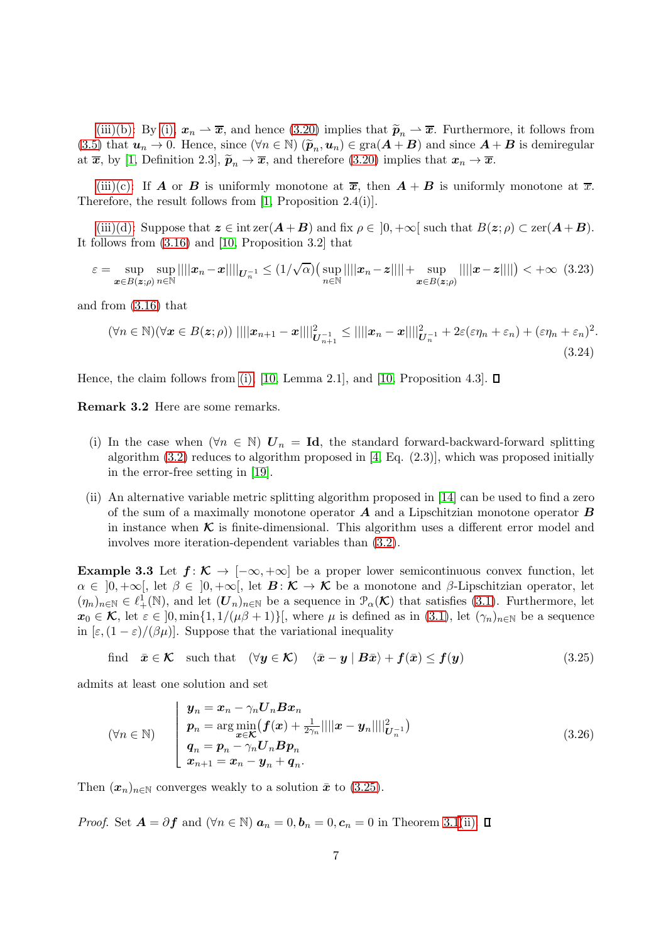[\(iii\)\(b\):](#page-2-8) By [\(i\),](#page-2-5)  $x_n \to \overline{x}$ , and hence [\(3.20\)](#page-5-0) implies that  $\widetilde{p}_n \to \overline{x}$ . Furthermore, it follows from [\(3.5\)](#page-3-0) that  $u_n \to 0$ . Hence, since  $(\forall n \in \mathbb{N}) (\tilde{p}_n, u_n) \in \text{gra}(A + B)$  and since  $A + B$  is demiregular at  $\bar{x}$ , by [\[1,](#page-12-6) Definition 2.3],  $\tilde{p}_n \to \bar{x}$ , and therefore [\(3.20\)](#page-5-0) implies that  $x_n \to \bar{x}$ .

[\(iii\)\(c\):](#page-2-9) If **A** or **B** is uniformly monotone at  $\overline{x}$ , then  $A + B$  is uniformly monotone at  $\overline{x}$ . Therefore, the result follows from [\[1,](#page-12-6) Proposition 2.4(i)].

[\(iii\)\(d\):](#page-2-10) Suppose that  $z \in \text{intzer}(A + B)$  and fix  $\rho \in [0, +\infty]$  such that  $B(z;\rho) \subset \text{zer}(A + B)$ . It follows from [\(3.16\)](#page-4-2) and [\[10,](#page-12-3) Proposition 3.2] that

$$
\varepsilon = \sup_{\mathbf{x}\in B(\mathbf{z};\rho)} \sup_{n\in\mathbb{N}} ||||\mathbf{x}_n - \mathbf{x}||||_{\mathbf{U}_n^{-1}} \leq (1/\sqrt{\alpha}) \Big( \sup_{n\in\mathbb{N}} ||||\mathbf{x}_n - \mathbf{z}|||| + \sup_{\mathbf{x}\in B(\mathbf{z};\rho)} ||||\mathbf{x} - \mathbf{z}|||| \Big) < +\infty
$$
 (3.23)

and from [\(3.16\)](#page-4-2) that

$$
(\forall n \in \mathbb{N})(\forall \boldsymbol{x} \in B(\boldsymbol{z};\rho)) \mid |||\boldsymbol{x}_{n+1} - \boldsymbol{x}||||_{\boldsymbol{U}_{n+1}^{-1}}^2 \le ||||\boldsymbol{x}_n - \boldsymbol{x}||||_{\boldsymbol{U}_n^{-1}}^2 + 2\varepsilon(\varepsilon\eta_n + \varepsilon_n) + (\varepsilon\eta_n + \varepsilon_n)^2.
$$
\n(3.24)

Hence, the claim follows from [\(i\),](#page-2-5) [\[10,](#page-12-3) Lemma 2.1], and [10, Proposition 4.3].  $\Box$ 

Remark 3.2 Here are some remarks.

- (i) In the case when  $(\forall n \in \mathbb{N})$   $\mathbf{U}_n = \mathbf{Id}$ , the standard forward-backward-forward splitting algorithm [\(3.2\)](#page-2-2) reduces to algorithm proposed in [\[4,](#page-12-10) Eq. (2.3)], which was proposed initially in the error-free setting in [\[19\]](#page-13-3).
- (ii) An alternative variable metric splitting algorithm proposed in [\[14\]](#page-12-14) can be used to find a zero of the sum of a maximally monotone operator  $\boldsymbol{A}$  and a Lipschitzian monotone operator  $\boldsymbol{B}$ in instance when  $\kappa$  is finite-dimensional. This algorithm uses a different error model and involves more iteration-dependent variables than [\(3.2\)](#page-2-2).

**Example 3.3** Let  $f: K \to [-\infty, +\infty]$  be a proper lower semicontinuous convex function, let  $\alpha \in [0, +\infty],$  let  $\beta \in [0, +\infty],$  let  $\mathcal{B}: \mathcal{K} \to \mathcal{K}$  be a monotone and  $\beta$ -Lipschitzian operator, let  $(\eta_n)_{n\in\mathbb{N}}\in\ell^1_+(\mathbb{N})$ , and let  $(\mathbf{U}_n)_{n\in\mathbb{N}}$  be a sequence in  $\mathcal{P}_\alpha(\mathcal{K})$  that satisfies [\(3.1\)](#page-2-1). Furthermore, let  $x_0 \in \mathcal{K}$ , let  $\varepsilon \in [0, \min\{1, 1/(\mu\beta + 1)\}]$ , where  $\mu$  is defined as in  $(3.1)$ , let  $(\gamma_n)_{n \in \mathbb{N}}$  be a sequence in  $[\varepsilon,(1-\varepsilon)/(\beta\mu)]$ . Suppose that the variational inequality

<span id="page-6-0"></span>find 
$$
\bar{x} \in \mathcal{K}
$$
 such that  $(\forall y \in \mathcal{K})$   $\langle \bar{x} - y | B\bar{x} \rangle + f(\bar{x}) \le f(y)$  (3.25)

admits at least one solution and set

$$
(\forall n \in \mathbb{N}) \qquad \begin{cases} \n\boldsymbol{y}_n = \boldsymbol{x}_n - \gamma_n \boldsymbol{U}_n \boldsymbol{B} \boldsymbol{x}_n \\ \n\boldsymbol{p}_n = \arg \min_{\boldsymbol{x} \in \mathcal{K}} (\boldsymbol{f}(\boldsymbol{x}) + \frac{1}{2\gamma_n} || ||\boldsymbol{x} - \boldsymbol{y}_n || ||_{\boldsymbol{U}_n^{-1}}^2) \\ \n\boldsymbol{q}_n = \boldsymbol{p}_n - \gamma_n \boldsymbol{U}_n \boldsymbol{B} \boldsymbol{p}_n \\ \n\boldsymbol{x}_{n+1} = \boldsymbol{x}_n - \boldsymbol{y}_n + \boldsymbol{q}_n. \n\end{cases} \tag{3.26}
$$

Then  $(\mathbf{x}_n)_{n\in\mathbb{N}}$  converges weakly to a solution  $\bar{x}$  to [\(3.25\)](#page-6-0).

*Proof.* Set  $A = \partial f$  and  $(\forall n \in \mathbb{N})$   $a_n = 0, b_n = 0, c_n = 0$  in Theorem [3.1](#page-2-11)[\(ii\).](#page-2-6)  $\square$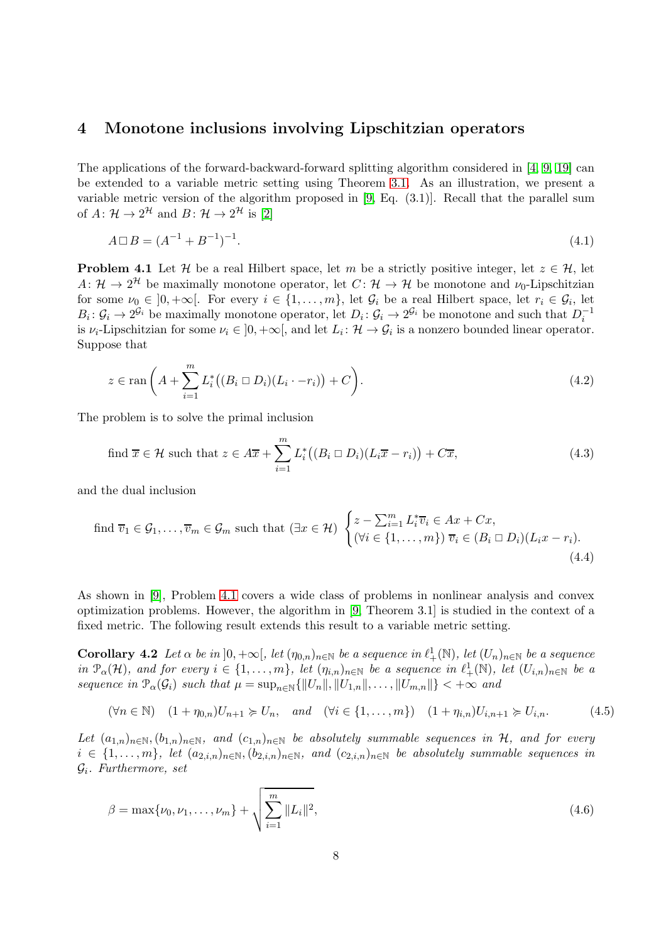#### <span id="page-7-0"></span>4 Monotone inclusions involving Lipschitzian operators

The applications of the forward-backward-forward splitting algorithm considered in [\[4,](#page-12-10) [9,](#page-12-11) [19\]](#page-13-3) can be extended to a variable metric setting using Theorem [3.1.](#page-2-11) As an illustration, we present a variable metric version of the algorithm proposed in [\[9,](#page-12-11) Eq. (3.1)]. Recall that the parallel sum of  $A: \mathcal{H} \to 2^{\mathcal{H}}$  and  $B: \mathcal{H} \to 2^{\mathcal{H}}$  is [\[2\]](#page-12-13)

$$
A \Box B = (A^{-1} + B^{-1})^{-1}.
$$
\n(4.1)

<span id="page-7-1"></span>**Problem 4.1** Let H be a real Hilbert space, let m be a strictly positive integer, let  $z \in \mathcal{H}$ , let  $A: \mathcal{H} \to 2^{\mathcal{H}}$  be maximally monotone operator, let  $C: \mathcal{H} \to \mathcal{H}$  be monotone and  $\nu_0$ -Lipschitzian for some  $\nu_0 \in [0, +\infty[$ . For every  $i \in \{1, ..., m\}$ , let  $\mathcal{G}_i$  be a real Hilbert space, let  $r_i \in \mathcal{G}_i$ , let  $B_i: \mathcal{G}_i \to 2^{\mathcal{G}_i}$  be maximally monotone operator, let  $D_i: \mathcal{G}_i \to 2^{\mathcal{G}_i}$  be monotone and such that  $D_i^{-1}$ is  $\nu_i$ -Lipschitzian for some  $\nu_i \in ]0, +\infty[$ , and let  $L_i: \mathcal{H} \to \mathcal{G}_i$  is a nonzero bounded linear operator. Suppose that

<span id="page-7-4"></span>
$$
z \in \operatorname{ran}\left(A + \sum_{i=1}^{m} L_i^*\left((B_i \square D_i)(L_i \cdot - r_i)\right) + C\right).
$$
\n(4.2)

The problem is to solve the primal inclusion

<span id="page-7-3"></span><span id="page-7-2"></span>find 
$$
\overline{x} \in \mathcal{H}
$$
 such that  $z \in A\overline{x} + \sum_{i=1}^{m} L_i^* \big( (B_i \square D_i)(L_i \overline{x} - r_i) \big) + C\overline{x}$ , (4.3)

and the dual inclusion

find 
$$
\overline{v}_1 \in \mathcal{G}_1, \ldots, \overline{v}_m \in \mathcal{G}_m
$$
 such that  $(\exists x \in \mathcal{H})$  
$$
\begin{cases} z - \sum_{i=1}^m L_i^* \overline{v}_i \in Ax + Cx, \\ (\forall i \in \{1, \ldots, m\}) \ \overline{v}_i \in (B_i \square D_i)(L_i x - r_i). \end{cases}
$$
(4.4)

As shown in [\[9\]](#page-12-11), Problem [4.1](#page-7-1) covers a wide class of problems in nonlinear analysis and convex optimization problems. However, the algorithm in [\[9,](#page-12-11) Theorem 3.1] is studied in the context of a fixed metric. The following result extends this result to a variable metric setting.

Corollary 4.2 *Let*  $\alpha$  *be in*  $]0, +\infty[$ *, let*  $(\eta_{0,n})_{n\in\mathbb{N}}$  *be a sequence in*  $\ell^1_+(\mathbb{N})$ *, let*  $(U_n)_{n\in\mathbb{N}}$  *be a sequence*  $in \mathcal{P}_{\alpha}(\mathcal{H})$ *, and for every*  $i \in \{1, \ldots, m\}$ *, let*  $(\eta_{i,n})_{n \in \mathbb{N}}$  *be a sequence in*  $\ell_{+}^{1}(\mathbb{N})$ *, let*  $(U_{i,n})_{n \in \mathbb{N}}$  *be a sequence in*  $\mathcal{P}_{\alpha}(\mathcal{G}_i)$  *such that*  $\mu = \sup_{n \in \mathbb{N}} \{ ||U_n||, ||U_{1,n}||, \ldots, ||U_{m,n}|| \} < +\infty$  *and* 

$$
(\forall n \in \mathbb{N}) \quad (1 + \eta_{0,n})U_{n+1} \succcurlyeq U_n, \quad and \quad (\forall i \in \{1, \dots, m\}) \quad (1 + \eta_{i,n})U_{i,n+1} \succcurlyeq U_{i,n}.\tag{4.5}
$$

Let  $(a_{1,n})_{n\in\mathbb{N}}$ ,  $(b_{1,n})_{n\in\mathbb{N}}$ , and  $(c_{1,n})_{n\in\mathbb{N}}$  be absolutely summable sequences in  $\mathcal{H}$ , and for every  $i \in \{1, \ldots, m\}$ , let  $(a_{2,i,n})_{n \in \mathbb{N}}$ ,  $(b_{2,i,n})_{n \in \mathbb{N}}$ , and  $(c_{2,i,n})_{n \in \mathbb{N}}$  be absolutely summable sequences in Gi *. Furthermore, set*

$$
\beta = \max\{\nu_0, \nu_1, \dots, \nu_m\} + \sqrt{\sum_{i=1}^m \|L_i\|^2},\tag{4.6}
$$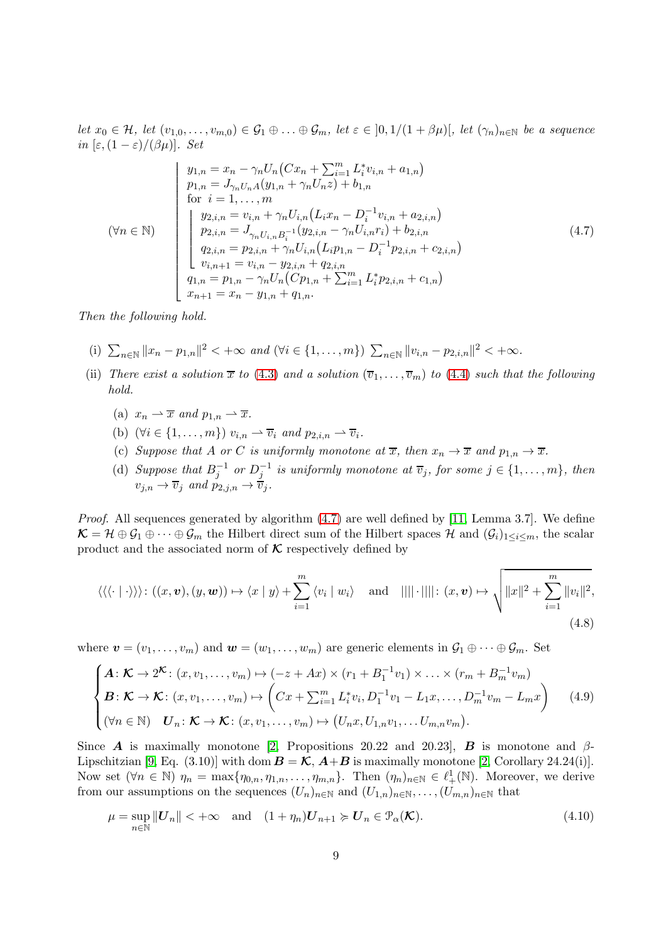*let*  $x_0 \in \mathcal{H}$ , *let*  $(v_{1,0}, \ldots, v_{m,0}) \in \mathcal{G}_1 \oplus \ldots \oplus \mathcal{G}_m$ , *let*  $\varepsilon \in [0,1/(1+\beta\mu)]$ , *let*  $(\gamma_n)_{n\in\mathbb{N}}$  *be a sequence in*  $[\varepsilon,(1-\varepsilon)/(\beta\mu)]$ *. Set* 

<span id="page-8-0"></span>
$$
(\forall n \in \mathbb{N})
$$
\n
$$
(\forall n \in \mathbb{N})
$$
\n
$$
\begin{cases}\ny_{1,n} = x_n - \gamma_n U_n (Cx_n + \sum_{i=1}^m L_i^* v_{i,n} + a_{1,n}) \\
p_{1,n} = J_{\gamma_n U_n A} (y_{1,n} + \gamma_n U_n z) + b_{1,n} \\
\text{for } i = 1, ..., m \\
y_{2,i,n} = v_{i,n} + \gamma_n U_{i,n} (L_i x_n - D_i^{-1} v_{i,n} + a_{2,i,n}) \\
p_{2,i,n} = J_{\gamma_n U_{i,n} B_i^{-1}} (y_{2,i,n} - \gamma_n U_{i,n} r_i) + b_{2,i,n} \\
q_{2,i,n} = p_{2,i,n} + \gamma_n U_{i,n} (L_i p_{1,n} - D_i^{-1} p_{2,i,n} + c_{2,i,n}) \\
v_{i,n+1} = v_{i,n} - y_{2,i,n} + q_{2,i,n} \\
q_{1,n} = p_{1,n} - \gamma_n U_n (C p_{1,n} + \sum_{i=1}^m L_i^* p_{2,i,n} + c_{1,n})\n\end{cases}
$$
\n(4.7)

<span id="page-8-1"></span>*Then the following hold.*

- (i)  $\sum_{n\in\mathbb{N}}||x_n p_{1,n}||^2 < +\infty$  and  $(\forall i \in \{1, ..., m\})$   $\sum_{n\in\mathbb{N}}||v_{i,n} p_{2,i,n}||^2 < +\infty$ .
- <span id="page-8-4"></span><span id="page-8-3"></span><span id="page-8-2"></span>(ii) *There exist a solution*  $\overline{x}$  *to* [\(4.3\)](#page-7-2) *and a solution*  $(\overline{v}_1, \ldots, \overline{v}_m)$  *to* [\(4.4\)](#page-7-3) *such that the following hold.*
	- (a)  $x_n \rightharpoonup \overline{x}$  and  $p_{1,n} \rightharpoonup \overline{x}$ .
	- (b)  $(\forall i \in \{1, ..., m\}) v_{i,n} \rightarrow \overline{v}_i$  and  $p_{2,i,n} \rightarrow \overline{v}_i$ .
	- (c) *Suppose that* A *or* C *is uniformly monotone at*  $\overline{x}$ *, then*  $x_n \to \overline{x}$  *and*  $p_{1,n} \to \overline{x}$ *.*
	- (d) Suppose that  $B_j^{-1}$  or  $D_j^{-1}$  is uniformly monotone at  $\overline{v}_j$ , for some  $j \in \{1, ..., m\}$ , then  $v_{j,n} \to \overline{v}_j$  and  $p_{2,j,n} \to \overline{v}_j$ .

<span id="page-8-5"></span>*Proof*. All sequences generated by algorithm [\(4.7\)](#page-8-0) are well defined by [\[11,](#page-12-9) Lemma 3.7]. We define  $\mathcal{K} = \mathcal{H} \oplus \mathcal{G}_1 \oplus \cdots \oplus \mathcal{G}_m$  the Hilbert direct sum of the Hilbert spaces  $\mathcal{H}$  and  $(\mathcal{G}_i)_{1 \leq i \leq m}$ , the scalar product and the associated norm of  $\kappa$  respectively defined by

$$
\langle \langle \langle \cdot | \cdot \rangle \rangle \rangle : ((x, \mathbf{v}), (y, \mathbf{w})) \mapsto \langle x | y \rangle + \sum_{i=1}^{m} \langle v_i | w_i \rangle \text{ and } ||||| \cdot ||||: (x, \mathbf{v}) \mapsto \sqrt{||x||^2 + \sum_{i=1}^{m} ||v_i||^2},
$$
\n(4.8)

where  $\mathbf{v} = (v_1, \ldots, v_m)$  and  $\mathbf{w} = (w_1, \ldots, w_m)$  are generic elements in  $\mathcal{G}_1 \oplus \cdots \oplus \mathcal{G}_m$ . Set

$$
\begin{cases}\n\mathbf{A}: \mathcal{K} \to 2^{\mathcal{K}}: (x, v_1, \dots, v_m) \mapsto (-z + Ax) \times (r_1 + B_1^{-1} v_1) \times \dots \times (r_m + B_m^{-1} v_m) \\
\mathbf{B}: \mathcal{K} \to \mathcal{K}: (x, v_1, \dots, v_m) \mapsto \left(Cx + \sum_{i=1}^m L_i^* v_i, D_1^{-1} v_1 - L_1 x, \dots, D_m^{-1} v_m - L_m x\right) \\
(\forall n \in \mathbb{N}) \quad \mathbf{U}_n: \mathcal{K} \to \mathcal{K}: (x, v_1, \dots, v_m) \mapsto (U_n x, U_{1,n} v_1, \dots U_{m,n} v_m).\n\end{cases} \tag{4.9}
$$

Since **A** is maximally monotone [\[2,](#page-12-13) Propositions 20.22 and 20.23], **B** is monotone and  $\beta$ -Lipschitzian [\[9,](#page-12-11) Eq. (3.10)] with dom  $\mathbf{B} = \mathcal{K}$ ,  $\mathbf{A} + \mathbf{B}$  is maximally monotone [\[2,](#page-12-13) Corollary 24.24(i)]. Now set  $(\forall n \in \mathbb{N})$   $\eta_n = \max\{\eta_{0,n}, \eta_{1,n}, \ldots, \eta_{m,n}\}.$  Then  $(\eta_n)_{n \in \mathbb{N}} \in \ell^1_+(\mathbb{N})$ . Moreover, we derive from our assumptions on the sequences  $(U_n)_{n\in\mathbb{N}}$  and  $(U_{1,n})_{n\in\mathbb{N}},\ldots,(U_{m,n})_{n\in\mathbb{N}}$  that

$$
\mu = \sup_{n \in \mathbb{N}} \|\mathbf{U}_n\| < +\infty \quad \text{and} \quad (1 + \eta_n)\mathbf{U}_{n+1} \succcurlyeq \mathbf{U}_n \in \mathcal{P}_\alpha(\mathcal{K}). \tag{4.10}
$$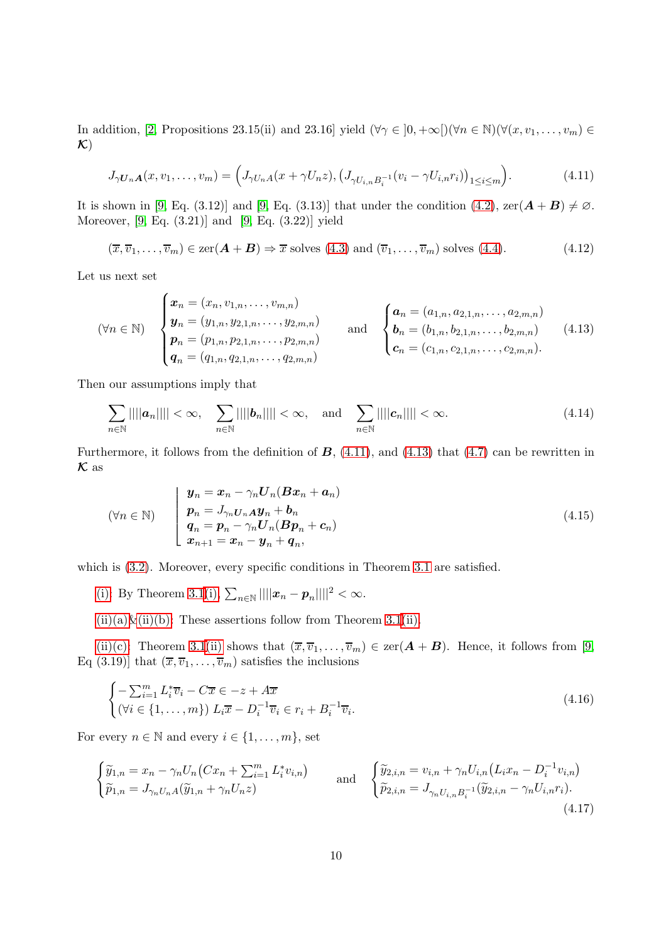In addition, [\[2,](#page-12-13) Propositions 23.15(ii) and 23.16] yield  $(\forall \gamma \in [0, +\infty[)(\forall n \in \mathbb{N})(\forall (x, v_1, \dots, v_m) \in$  $\mathcal{K}$ 

<span id="page-9-0"></span>
$$
J_{\gamma U_n A}(x, v_1, \dots, v_m) = \left( J_{\gamma U_n A}(x + \gamma U_n z), \left( J_{\gamma U_{i,n} B_i^{-1}}(v_i - \gamma U_{i,n} r_i) \right)_{1 \le i \le m} \right). \tag{4.11}
$$

It is shown in [\[9,](#page-12-11) Eq. (3.12)] and [9, Eq. (3.13)] that under the condition [\(4.2\)](#page-7-4),  $\text{zer}(\mathbf{A} + \mathbf{B}) \neq \emptyset$ . Moreover, [\[9,](#page-12-11) Eq. (3.21)] and [\[9,](#page-12-11) Eq. (3.22)] yield

<span id="page-9-1"></span> $(\overline{x}, \overline{v}_1, \ldots, \overline{v}_m) \in \text{zer}(\mathbf{A} + \mathbf{B}) \Rightarrow \overline{x}$  solves  $(4.3)$  and  $(\overline{v}_1, \ldots, \overline{v}_m)$  solves  $(4.4)$ . (4.12)

Let us next set

$$
(\forall n \in \mathbb{N}) \quad\n\begin{cases}\n\boldsymbol{x}_n = (x_n, v_{1,n}, \dots, v_{m,n}) \\
\boldsymbol{y}_n = (y_{1,n}, y_{2,1,n}, \dots, y_{2,m,n}) \\
\boldsymbol{p}_n = (p_{1,n}, p_{2,1,n}, \dots, p_{2,m,n}) \\
\boldsymbol{q}_n = (q_{1,n}, q_{2,1,n}, \dots, q_{2,m,n})\n\end{cases}\n\quad\n\text{and}\n\quad\n\begin{cases}\n\boldsymbol{a}_n = (a_{1,n}, a_{2,1,n}, \dots, a_{2,m,n}) \\
\boldsymbol{b}_n = (b_{1,n}, b_{2,1,n}, \dots, b_{2,m,n}) \\
\boldsymbol{c}_n = (c_{1,n}, c_{2,1,n}, \dots, c_{2,m,n}).\n\end{cases}\n\tag{4.13}
$$

Then our assumptions imply that

$$
\sum_{n\in\mathbb{N}}||||\boldsymbol{a}_n|||| < \infty, \quad \sum_{n\in\mathbb{N}}||||\boldsymbol{b}_n|||| < \infty, \quad \text{and} \quad \sum_{n\in\mathbb{N}}||||\boldsymbol{c}_n|||| < \infty.
$$
 (4.14)

Furthermore, it follows from the definition of  $\mathbf{B}$ , [\(4.11\)](#page-9-0), and [\(4.13\)](#page-9-1) that [\(4.7\)](#page-8-0) can be rewritten in  $\kappa$  as

$$
(\forall n \in \mathbb{N}) \qquad \begin{cases} \n\boldsymbol{y}_n = \boldsymbol{x}_n - \gamma_n \boldsymbol{U}_n (\boldsymbol{B} \boldsymbol{x}_n + \boldsymbol{a}_n) \\ \n\boldsymbol{p}_n = J_{\gamma_n} \boldsymbol{U}_n \boldsymbol{A} \boldsymbol{y}_n + \boldsymbol{b}_n \\ \n\boldsymbol{q}_n = \boldsymbol{p}_n - \gamma_n \boldsymbol{U}_n (\boldsymbol{B} \boldsymbol{p}_n + \boldsymbol{c}_n) \\ \n\boldsymbol{x}_{n+1} = \boldsymbol{x}_n - \boldsymbol{y}_n + \boldsymbol{q}_n, \n\end{cases} \tag{4.15}
$$

which is  $(3.2)$ . Moreover, every specific conditions in Theorem [3.1](#page-2-11) are satisfied.

[\(i\):](#page-8-1) By Theorem [3.1](#page-2-11)[\(i\),](#page-2-5)  $\sum_{n \in \mathbb{N}} ||||x_n - p_n||||^2 < \infty$ .

 $(ii)(a)\&(ii)(b)$ : These assertions follow from Theorem [3.1](#page-2-11)[\(ii\).](#page-2-6)

[\(ii\)\(c\):](#page-8-4) Theorem [3.1](#page-2-11)[\(ii\)](#page-2-6) shows that  $(\overline{x}, \overline{v}_1, \ldots, \overline{v}_m) \in \text{zer}(A + B)$ . Hence, it follows from [\[9,](#page-12-11) Eq (3.19)] that  $(\overline{x}, \overline{v}_1, \ldots, \overline{v}_m)$  satisfies the inclusions

<span id="page-9-3"></span><span id="page-9-2"></span>
$$
\begin{cases}\n-\sum_{i=1}^{m} L_i^* \overline{v}_i - C\overline{x} \in -z + A\overline{x} \\
(\forall i \in \{1, ..., m\}) \ L_i \overline{x} - D_i^{-1} \overline{v}_i \in r_i + B_i^{-1} \overline{v}_i.\n\end{cases} \tag{4.16}
$$

For every  $n \in \mathbb{N}$  and every  $i \in \{1, \ldots, m\}$ , set

$$
\begin{cases}\n\widetilde{y}_{1,n} = x_n - \gamma_n U_n \big( Cx_n + \sum_{i=1}^m L_i^* v_{i,n} \big) \\
\widetilde{p}_{1,n} = J_{\gamma_n U_n A}(\widetilde{y}_{1,n} + \gamma_n U_n z)\n\end{cases}\n\text{ and }\n\begin{cases}\n\widetilde{y}_{2,i,n} = v_{i,n} + \gamma_n U_{i,n} \big( L_i x_n - D_i^{-1} v_{i,n} \big) \\
\widetilde{p}_{2,i,n} = J_{\gamma_n U_{i,n} B_i^{-1}}(\widetilde{y}_{2,i,n} - \gamma_n U_{i,n} r_i).\n\end{cases}\n\tag{4.17}
$$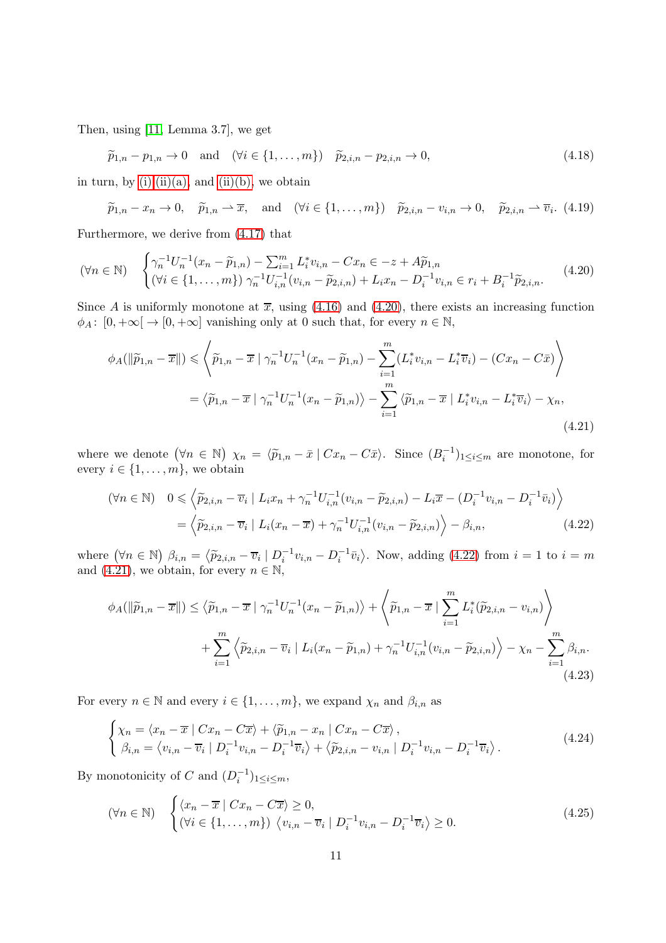Then, using [\[11,](#page-12-9) Lemma 3.7], we get

 $\widetilde{p}_{1,n} - p_{1,n} \to 0 \text{ and } (\forall i \in \{1, ..., m\}) \quad \widetilde{p}_{2,i,n} - p_{2,i,n} \to 0,$ (4.18)

in turn, by  $(i), (ii)(a)$ , and  $(ii)(b)$ , we obtain

<span id="page-10-5"></span><span id="page-10-0"></span>
$$
\widetilde{p}_{1,n} - x_n \to 0
$$
,  $\widetilde{p}_{1,n} \rightharpoonup \overline{x}$ , and  $(\forall i \in \{1, ..., m\})$   $\widetilde{p}_{2,i,n} - v_{i,n} \to 0$ ,  $\widetilde{p}_{2,i,n} \rightharpoonup \overline{v}_i$ . (4.19)

Furthermore, we derive from [\(4.17\)](#page-9-2) that

$$
(\forall n \in \mathbb{N}) \quad \begin{cases} \gamma_n^{-1} U_n^{-1} (x_n - \widetilde{p}_{1,n}) - \sum_{i=1}^m L_i^* v_{i,n} - C x_n \in -z + A \widetilde{p}_{1,n} \\ (\forall i \in \{1, \dots, m\}) \ \gamma_n^{-1} U_{i,n}^{-1} (v_{i,n} - \widetilde{p}_{2,i,n}) + L_i x_n - D_i^{-1} v_{i,n} \in r_i + B_i^{-1} \widetilde{p}_{2,i,n}. \end{cases} \tag{4.20}
$$

Since A is uniformly monotone at  $\bar{x}$ , using [\(4.16\)](#page-9-3) and [\(4.20\)](#page-10-0), there exists an increasing function  $\phi_A: [0, +\infty] \to [0, +\infty]$  vanishing only at 0 such that, for every  $n \in \mathbb{N}$ ,

$$
\phi_A(\|\widetilde{p}_{1,n} - \overline{x}\|) \leqslant \left\langle \widetilde{p}_{1,n} - \overline{x} \mid \gamma_n^{-1} U_n^{-1} (x_n - \widetilde{p}_{1,n}) - \sum_{i=1}^m (L_i^* v_{i,n} - L_i^* \overline{v}_i) - (Cx_n - C\overline{x}) \right\rangle
$$

$$
= \left\langle \widetilde{p}_{1,n} - \overline{x} \mid \gamma_n^{-1} U_n^{-1} (x_n - \widetilde{p}_{1,n}) \right\rangle - \sum_{i=1}^m \left\langle \widetilde{p}_{1,n} - \overline{x} \mid L_i^* v_{i,n} - L_i^* \overline{v}_i \right\rangle - \chi_n,
$$
\n(4.21)

where we denote  $(\forall n \in \mathbb{N})$   $\chi_n = \langle \tilde{p}_{1,n} - \bar{x} \mid Cx_n - C\bar{x} \rangle$ . Since  $(B_i^{-1})_{1 \leq i \leq m}$  are monotone, for every  $i \in \{1, \ldots, m\}$ , we obtain

<span id="page-10-2"></span><span id="page-10-1"></span>
$$
(\forall n \in \mathbb{N}) \quad 0 \leq \left\langle \widetilde{p}_{2,i,n} - \overline{v}_i \mid L_i x_n + \gamma_n^{-1} U_{i,n}^{-1} (v_{i,n} - \widetilde{p}_{2,i,n}) - L_i \overline{x} - (D_i^{-1} v_{i,n} - D_i^{-1} \overline{v}_i) \right\rangle
$$
  
=  $\left\langle \widetilde{p}_{2,i,n} - \overline{v}_i \mid L_i (x_n - \overline{x}) + \gamma_n^{-1} U_{i,n}^{-1} (v_{i,n} - \widetilde{p}_{2,i,n}) \right\rangle - \beta_{i,n},$  (4.22)

where  $(\forall n \in \mathbb{N})$   $\beta_{i,n} = \langle \tilde{p}_{2,i,n} - \overline{v}_i \mid D_i^{-1} v_{i,n} - D_i^{-1} \overline{v}_i \rangle$ . Now, adding [\(4.22\)](#page-10-1) from  $i = 1$  to  $i = m$ and [\(4.21\)](#page-10-2), we obtain, for every  $n \in \mathbb{N}$ ,

$$
\phi_A(\|\widetilde{p}_{1,n} - \overline{x}\|) \le \langle \widetilde{p}_{1,n} - \overline{x} \mid \gamma_n^{-1} U_n^{-1} (x_n - \widetilde{p}_{1,n}) \rangle + \left\langle \widetilde{p}_{1,n} - \overline{x} \mid \sum_{i=1}^m L_i^* (\widetilde{p}_{2,i,n} - v_{i,n}) \right\rangle + \sum_{i=1}^m \left\langle \widetilde{p}_{2,i,n} - \overline{v}_i \mid L_i (x_n - \widetilde{p}_{1,n}) + \gamma_n^{-1} U_{i,n}^{-1} (v_{i,n} - \widetilde{p}_{2,i,n}) \right\rangle - \chi_n - \sum_{i=1}^m \beta_{i,n}.
$$
\n(4.23)

For every  $n \in \mathbb{N}$  and every  $i \in \{1, ..., m\}$ , we expand  $\chi_n$  and  $\beta_{i,n}$  as

<span id="page-10-4"></span><span id="page-10-3"></span>
$$
\begin{cases}\n\chi_n = \langle x_n - \overline{x} \mid Cx_n - C\overline{x} \rangle + \langle \widetilde{p}_{1,n} - x_n \mid Cx_n - C\overline{x} \rangle, \\
\beta_{i,n} = \langle v_{i,n} - \overline{v}_i \mid D_i^{-1}v_{i,n} - D_i^{-1}\overline{v}_i \rangle + \langle \widetilde{p}_{2,i,n} - v_{i,n} \mid D_i^{-1}v_{i,n} - D_i^{-1}\overline{v}_i \rangle.\n\end{cases} \tag{4.24}
$$

By monotonicity of C and  $(D_i^{-1})_{1 \leq i \leq m}$ ,

$$
(\forall n \in \mathbb{N}) \quad \begin{cases} \langle x_n - \overline{x} \mid Cx_n - C\overline{x} \rangle \ge 0, \\ (\forall i \in \{1, ..., m\}) \ \langle v_{i,n} - \overline{v}_i \mid D_i^{-1}v_{i,n} - D_i^{-1}\overline{v}_i \rangle \ge 0. \end{cases} \tag{4.25}
$$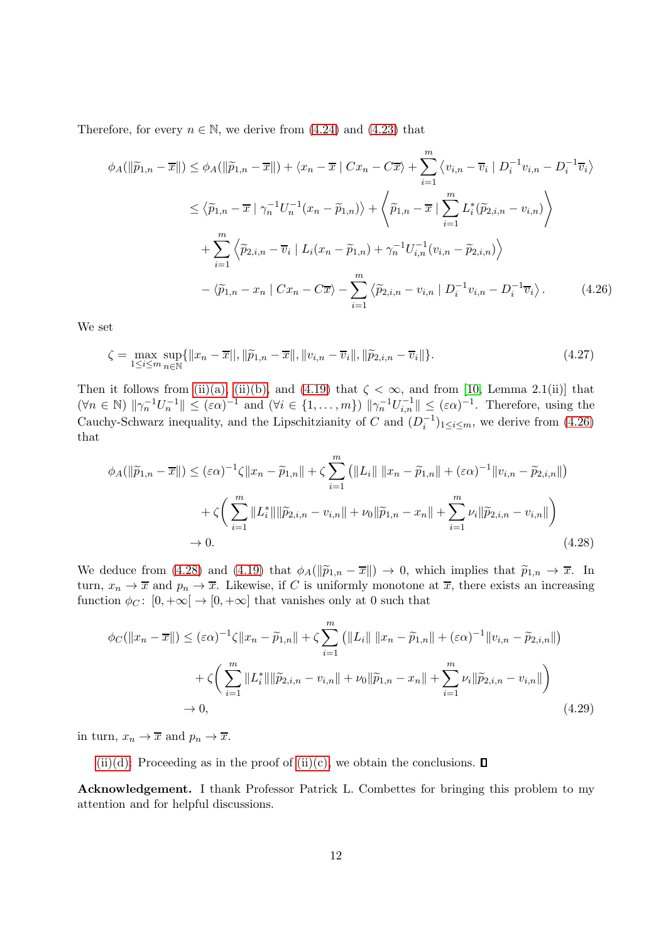Therefore, for every  $n \in \mathbb{N}$ , we derive from [\(4.24\)](#page-10-3) and [\(4.23\)](#page-10-4) that

$$
\phi_A(\|\widetilde{p}_{1,n} - \overline{x}\|) \leq \phi_A(\|\widetilde{p}_{1,n} - \overline{x}\|) + \langle x_n - \overline{x} \mid Cx_n - C\overline{x} \rangle + \sum_{i=1}^m \langle v_{i,n} - \overline{v}_i \mid D_i^{-1}v_{i,n} - D_i^{-1}\overline{v}_i \rangle
$$
  

$$
\leq \langle \widetilde{p}_{1,n} - \overline{x} \mid \gamma_n^{-1}U_n^{-1}(x_n - \widetilde{p}_{1,n}) \rangle + \langle \widetilde{p}_{1,n} - \overline{x} \mid \sum_{i=1}^m L_i^*(\widetilde{p}_{2,i,n} - v_{i,n}) \rangle
$$
  

$$
+ \sum_{i=1}^m \langle \widetilde{p}_{2,i,n} - \overline{v}_i \mid L_i(x_n - \widetilde{p}_{1,n}) + \gamma_n^{-1}U_{i,n}^{-1}(v_{i,n} - \widetilde{p}_{2,i,n}) \rangle
$$
  

$$
- \langle \widetilde{p}_{1,n} - x_n \mid Cx_n - C\overline{x} \rangle - \sum_{i=1}^m \langle \widetilde{p}_{2,i,n} - v_{i,n} \mid D_i^{-1}v_{i,n} - D_i^{-1}\overline{v}_i \rangle.
$$
 (4.26)

We set

<span id="page-11-0"></span>
$$
\zeta = \max_{1 \le i \le m} \sup_{n \in \mathbb{N}} \{ ||x_n - \overline{x}||, ||\widetilde{p}_{1,n} - \overline{x}||, ||v_{i,n} - \overline{v}_i||, ||\widetilde{p}_{2,i,n} - \overline{v}_i|| \}.
$$
\n(4.27)

Then it follows from [\(ii\)\(a\),](#page-8-2) [\(ii\)\(b\),](#page-8-3) and [\(4.19\)](#page-10-5) that  $\zeta < \infty$ , and from [\[10,](#page-12-3) Lemma 2.1(ii)] that  $(\forall n \in \mathbb{N})$   $\|\gamma_n^{-1}U_n^{-1}\| \leq (\varepsilon \alpha)^{-1}$  and  $(\forall i \in \{1, \ldots, m\})$   $\|\gamma_n^{-1}U_{i,n}^{-1}\| \leq (\varepsilon \alpha)^{-1}$ . Therefore, using the Cauchy-Schwarz inequality, and the Lipschitzianity of C and  $(D_i^{-1})_{1 \leq i \leq m}$ , we derive from [\(4.26\)](#page-11-0) that

<span id="page-11-1"></span>
$$
\phi_A(\|\widetilde{p}_{1,n} - \overline{x}\|) \le (\varepsilon \alpha)^{-1} \zeta \|x_n - \widetilde{p}_{1,n}\| + \zeta \sum_{i=1}^m \left( \|L_i\| \|x_n - \widetilde{p}_{1,n}\| + (\varepsilon \alpha)^{-1} \|v_{i,n} - \widetilde{p}_{2,i,n}\|\right) + \zeta \left( \sum_{i=1}^m \|L_i^*\| \|\widetilde{p}_{2,i,n} - v_{i,n}\| + \nu_0 \|\widetilde{p}_{1,n} - x_n\| + \sum_{i=1}^m \nu_i \|\widetilde{p}_{2,i,n} - v_{i,n}\|\right) \to 0.
$$
\n(4.28)

We deduce from [\(4.28\)](#page-11-1) and [\(4.19\)](#page-10-5) that  $\phi_A(\|\tilde{p}_{1,n} - \overline{x}\|) \to 0$ , which implies that  $\tilde{p}_{1,n} \to \overline{x}$ . In turn,  $x_n \to \overline{x}$  and  $p_n \to \overline{x}$ . Likewise, if C is uniformly monotone at  $\overline{x}$ , there exists an increasing function  $\phi_C: [0, +\infty] \to [0, +\infty]$  that vanishes only at 0 such that

$$
\phi_C(\|x_n - \overline{x}\|) \le (\varepsilon \alpha)^{-1} \zeta \|x_n - \widetilde{p}_{1,n}\| + \zeta \sum_{i=1}^m \left( \|L_i\| \|x_n - \widetilde{p}_{1,n}\| + (\varepsilon \alpha)^{-1} \|v_{i,n} - \widetilde{p}_{2,i,n}\|\right) + \zeta \left( \sum_{i=1}^m \|L_i^*\| \|\widetilde{p}_{2,i,n} - v_{i,n}\| + \nu_0 \|\widetilde{p}_{1,n} - x_n\| + \sum_{i=1}^m \nu_i \|\widetilde{p}_{2,i,n} - v_{i,n}\|\right) \to 0,
$$
\n(4.29)

in turn,  $x_n \to \overline{x}$  and  $p_n \to \overline{x}$ .

[\(ii\)\(d\):](#page-8-5) Proceeding as in the proof of [\(ii\)\(c\),](#page-8-4) we obtain the conclusions.  $\Box$ 

Acknowledgement. I thank Professor Patrick L. Combettes for bringing this problem to my attention and for helpful discussions.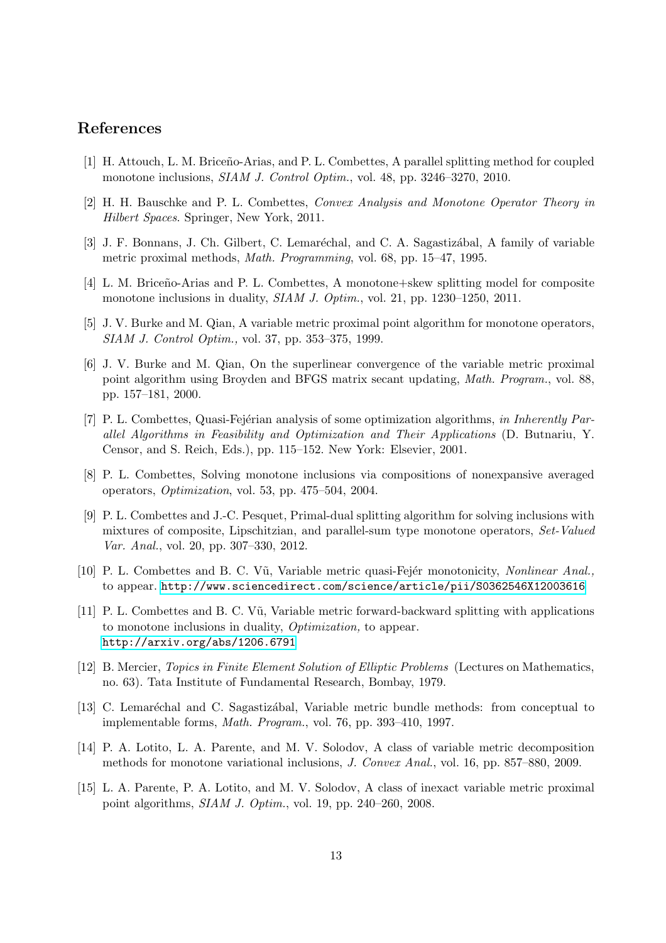## <span id="page-12-6"></span>References

- <span id="page-12-13"></span>[1] H. Attouch, L. M. Briceño-Arias, and P. L. Combettes, A parallel splitting method for coupled monotone inclusions, *SIAM J. Control Optim.*, vol. 48, pp. 3246–3270, 2010.
- <span id="page-12-0"></span>[2] H. H. Bauschke and P. L. Combettes, *Convex Analysis and Monotone Operator Theory in Hilbert Spaces*. Springer, New York, 2011.
- <span id="page-12-10"></span>[3] J. F. Bonnans, J. Ch. Gilbert, C. Lemaréchal, and C. A. Sagastizábal, A family of variable metric proximal methods, *Math. Programming*, vol. 68, pp. 15–47, 1995.
- <span id="page-12-1"></span>[4] L. M. Briceño-Arias and P. L. Combettes, A monotone+skew splitting model for composite monotone inclusions in duality, *SIAM J. Optim.*, vol. 21, pp. 1230–1250, 2011.
- <span id="page-12-2"></span>[5] J. V. Burke and M. Qian, A variable metric proximal point algorithm for monotone operators, *SIAM J. Control Optim.,* vol. 37, pp. 353–375, 1999.
- [6] J. V. Burke and M. Qian, On the superlinear convergence of the variable metric proximal point algorithm using Broyden and BFGS matrix secant updating, *Math. Program.*, vol. 88, pp. 157–181, 2000.
- <span id="page-12-12"></span>[7] P. L. Combettes, Quasi-Fejérian analysis of some optimization algorithms, *in Inherently Parallel Algorithms in Feasibility and Optimization and Their Applications* (D. Butnariu, Y. Censor, and S. Reich, Eds.), pp. 115–152. New York: Elsevier, 2001.
- <span id="page-12-11"></span><span id="page-12-7"></span>[8] P. L. Combettes, Solving monotone inclusions via compositions of nonexpansive averaged operators, *Optimization*, vol. 53, pp. 475–504, 2004.
- [9] P. L. Combettes and J.-C. Pesquet, Primal-dual splitting algorithm for solving inclusions with mixtures of composite, Lipschitzian, and parallel-sum type monotone operators, *Set-Valued Var. Anal.*, vol. 20, pp. 307–330, 2012.
- <span id="page-12-9"></span><span id="page-12-3"></span>[10] P. L. Combettes and B. C. V˜u, Variable metric quasi-Fej´er monotonicity, *Nonlinear Anal.,* to appear. <http://www.sciencedirect.com/science/article/pii/S0362546X12003616>
- [11] P. L. Combettes and B. C. V˜u, Variable metric forward-backward splitting with applications to monotone inclusions in duality, *Optimization,* to appear. <http://arxiv.org/abs/1206.6791>
- <span id="page-12-8"></span>[12] B. Mercier, *Topics in Finite Element Solution of Elliptic Problems* (Lectures on Mathematics, no. 63). Tata Institute of Fundamental Research, Bombay, 1979.
- <span id="page-12-4"></span>[13] C. Lemaréchal and C. Sagastizábal, Variable metric bundle methods: from conceptual to implementable forms, *Math. Program.*, vol. 76, pp. 393–410, 1997.
- <span id="page-12-14"></span>[14] P. A. Lotito, L. A. Parente, and M. V. Solodov, A class of variable metric decomposition methods for monotone variational inclusions, *J. Convex Anal.*, vol. 16, pp. 857–880, 2009.
- <span id="page-12-5"></span>[15] L. A. Parente, P. A. Lotito, and M. V. Solodov, A class of inexact variable metric proximal point algorithms, *SIAM J. Optim.*, vol. 19, pp. 240–260, 2008.